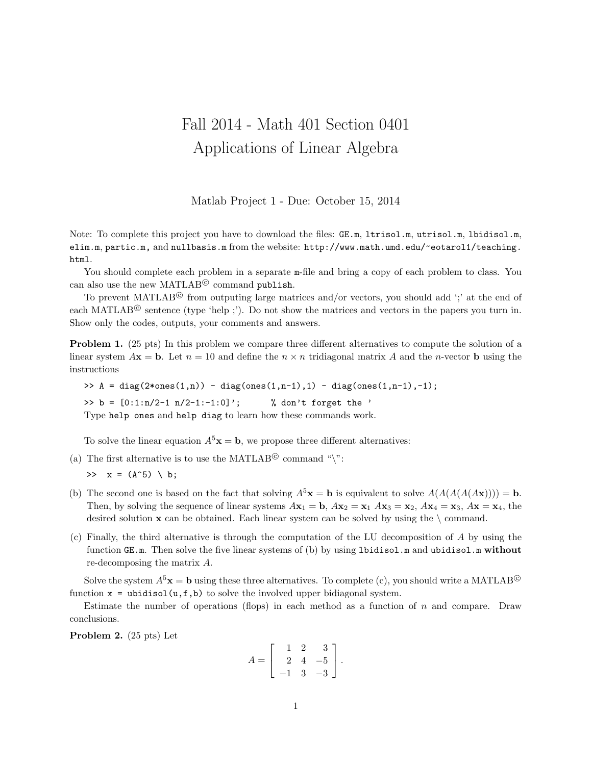## Fall 2014 - Math 401 Section 0401 Applications of Linear Algebra

Matlab Project 1 - Due: October 15, 2014

Note: To complete this project you have to download the files: GE.m, ltrisol.m, utrisol.m, lbidisol.m, elim.m, partic.m, and nullbasis.m from the website: http://www.math.umd.edu/~eotarol1/teaching. html.

You should complete each problem in a separate  $m$ -file and bring a copy of each problem to class. You can also use the new MATLAB<sup>©</sup> command publish.

To prevent MATLAB<sup>©</sup> from outputing large matrices and/or vectors, you should add ';' at the end of each MATLAB<sup>©</sup> sentence (type 'help ;'). Do not show the matrices and vectors in the papers you turn in. Show only the codes, outputs, your comments and answers.

Problem 1. (25 pts) In this problem we compare three different alternatives to compute the solution of a linear system  $A\mathbf{x} = \mathbf{b}$ . Let  $n = 10$  and define the  $n \times n$  tridiagonal matrix A and the n-vector **b** using the instructions

>> A = diag(2\*ones(1,n)) - diag(ones(1,n-1),1) - diag(ones(1,n-1),-1); >> b =  $[0:1:n/2-1:n/2-1:-1:0]'$ ; % don't forget the ' Type help ones and help diag to learn how these commands work.

To solve the linear equation  $A^5$ **x** = **b**, we propose three different alternatives:

(a) The first alternative is to use the MATLAB<sup>©</sup> command " $\rangle$ ":

>>  $x = (A^5) \setminus b$ ;

- (b) The second one is based on the fact that solving  $A^5$ **x** = **b** is equivalent to solve  $A(A(A(A \mathbf{x}))))$  = **b**. Then, by solving the sequence of linear systems  $A\mathbf{x}_1 = \mathbf{b}$ ,  $A\mathbf{x}_2 = \mathbf{x}_1 A\mathbf{x}_3 = \mathbf{x}_2$ ,  $A\mathbf{x}_4 = \mathbf{x}_3$ ,  $A\mathbf{x} = \mathbf{x}_4$ , the desired solution  $x$  can be obtained. Each linear system can be solved by using the  $\setminus$  command.
- (c) Finally, the third alternative is through the computation of the LU decomposition of A by using the function GE.m. Then solve the five linear systems of (b) by using lbidisol.m and ubidisol.m without re-decomposing the matrix A.

Solve the system  $A^5$ **x** = **b** using these three alternatives. To complete (c), you should write a MATLAB<sup>©</sup> function  $x = \text{ubidisol}(u, f, b)$  to solve the involved upper bidiagonal system.

Estimate the number of operations (flops) in each method as a function of  $n$  and compare. Draw conclusions.

Problem 2. (25 pts) Let

$$
A = \left[ \begin{array}{rrr} 1 & 2 & 3 \\ 2 & 4 & -5 \\ -1 & 3 & -3 \end{array} \right].
$$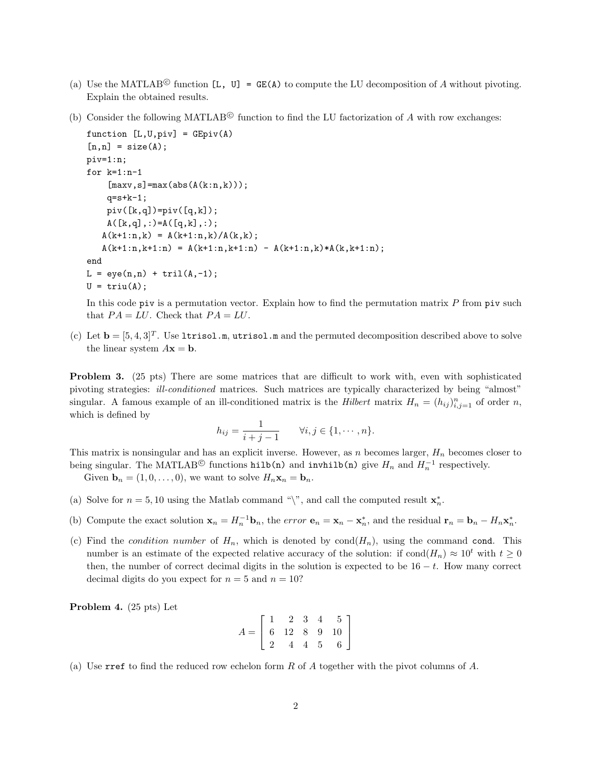- (a) Use the MATLAB<sup>©</sup> function [L, U] = GE(A) to compute the LU decomposition of A without pivoting. Explain the obtained results.
- (b) Consider the following MATLAB<sup> $\odot$ </sup> function to find the LU factorization of A with row exchanges:

```
function [L, U, \text{piv}] = \text{GEpi}(A)[n,n] = size(A);piv=1:n;
for k=1:n-1
     [\text{maxv}, s] = \text{max}(\text{abs}(A(k:n, k)));
     q = s + k - 1;
     piv([k,q])=piv([q,k]);A([k,q],:) = A([q,k],:);A(k+1:n,k) = A(k+1:n,k)/A(k,k);A(k+1:n,k+1:n) = A(k+1:n,k+1:n) - A(k+1:n,k)*A(k,k+1:n);end
L = eye(n, n) + tril(A, -1);U = \text{triu}(A);
```
In this code piv is a permutation vector. Explain how to find the permutation matrix  $P$  from piv such that  $PA = LU$ . Check that  $PA = LU$ .

(c) Let  $\mathbf{b} = [5, 4, 3]^T$ . Use 1trisol.m, utrisol.m and the permuted decomposition described above to solve the linear system  $A\mathbf{x} = \mathbf{b}$ .

Problem 3. (25 pts) There are some matrices that are difficult to work with, even with sophisticated pivoting strategies: ill-conditioned matrices. Such matrices are typically characterized by being "almost" singular. A famous example of an ill-conditioned matrix is the *Hilbert* matrix  $H_n = (h_{ij})_{i,j=1}^n$  of order n, which is defined by

$$
h_{ij} = \frac{1}{i + j - 1}
$$
  $\forall i, j \in \{1, \dots, n\}.$ 

This matrix is nonsingular and has an explicit inverse. However, as n becomes larger,  $H_n$  becomes closer to being singular. The MATLAB<sup>©</sup> functions  $\text{hilb}(n)$  and  $\text{inwhile}(n)$  give  $H_n$  and  $H_n^{-1}$  respectively.

Given  $\mathbf{b}_n = (1, 0, \dots, 0)$ , we want to solve  $H_n \mathbf{x}_n = \mathbf{b}_n$ .

- (a) Solve for  $n = 5, 10$  using the Matlab command "\", and call the computed result  $\mathbf{x}_n^*$ .
- (b) Compute the exact solution  $\mathbf{x}_n = H_n^{-1} \mathbf{b}_n$ , the error  $\mathbf{e}_n = \mathbf{x}_n \mathbf{x}_n^*$ , and the residual  $\mathbf{r}_n = \mathbf{b}_n H_n \mathbf{x}_n^*$ .
- (c) Find the *condition number* of  $H_n$ , which is denoted by  $cond(H_n)$ , using the command cond. This number is an estimate of the expected relative accuracy of the solution: if cond $(H_n) \approx 10^t$  with  $t \ge 0$ then, the number of correct decimal digits in the solution is expected to be  $16 - t$ . How many correct decimal digits do you expect for  $n = 5$  and  $n = 10$ ?

Problem 4. (25 pts) Let

$$
A = \left[ \begin{array}{rrrr} 1 & 2 & 3 & 4 & 5 \\ 6 & 12 & 8 & 9 & 10 \\ 2 & 4 & 4 & 5 & 6 \end{array} \right]
$$

(a) Use rref to find the reduced row echelon form R of A together with the pivot columns of A.